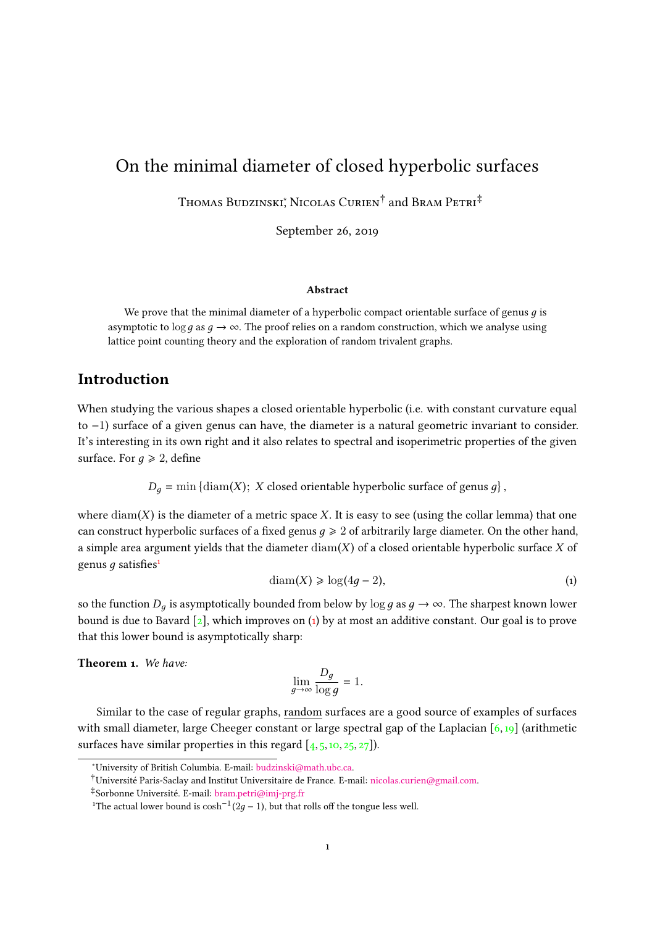# On the minimal diameter of closed hyperbolic surfaces

Thomas Budzinski‡ Nicolas Curien<sup>†</sup> and Bram Petri<sup>‡</sup>

September 26, 2019

#### Abstract

We prove that the minimal diameter of a hyperbolic compact orientable surface of genus  $g$  is asymptotic to  $\log q$  as  $q \to \infty$ . The proof relies on a random construction, which we analyse using lattice point counting theory and the exploration of random trivalent graphs.

# Introduction

When studying the various shapes a closed orientable hyperbolic (i.e. with constant curvature equal to −1) surface of a given genus can have, the diameter is a natural geometric invariant to consider. It's interesting in its own right and it also relates to spectral and isoperimetric properties of the given surface. For  $q \ge 2$ , define

> $D_g = \min \{ \text{diam}(X); X \text{ closed orientable hyperbolic surface of genus } g \}$ ,

where  $\text{diam}(X)$  is the diameter of a metric space X. It is easy to see (using the collar lemma) that one can construct hyperbolic surfaces of a fixed genus  $q \geq 2$  of arbitrarily large diameter. On the other hand, a simple area argument yields that the diameter  $\text{diam}(X)$  of a closed orientable hyperbolic surface X of genus  $q$  satisfies<sup>[1](#page-0-0)</sup>

<span id="page-0-1"></span>
$$
diam(X) \geqslant log(4g - 2),\tag{1}
$$

so the function  $D_q$  is asymptotically bounded from below by  $\log g$  as  $q \to \infty$ . The sharpest known lower bound is due to Bavard  $[2]$ , which improves on  $(1)$  by at most an additive constant. Our goal is to prove that this lower bound is asymptotically sharp:

<span id="page-0-2"></span>Theorem 1. We have:

$$
\lim_{g \to \infty} \frac{D_g}{\log g} = 1.
$$

Similar to the case of regular graphs, random surfaces are a good source of examples of surfaces with small diameter, large Cheeger constant or large spectral gap of the Laplacian  $[6,19]$  $[6,19]$  (arithmetic surfaces have similar properties in this regard  $[4, 5, 10, 25, 27]$  $[4, 5, 10, 25, 27]$  $[4, 5, 10, 25, 27]$  $[4, 5, 10, 25, 27]$  $[4, 5, 10, 25, 27]$  $[4, 5, 10, 25, 27]$  $[4, 5, 10, 25, 27]$  $[4, 5, 10, 25, 27]$  $[4, 5, 10, 25, 27]$ .

<sup>∗</sup>University of British Columbia. E-mail: [budzinski@math.ubc.ca.](mailto:budzinski@math.ubc.ca)

<sup>†</sup>Université Paris-Saclay and Institut Universitaire de France. E-mail: [nicolas.curien@gmail.com.](mailto:nicolas.curien@gmail.com)

<sup>‡</sup>Sorbonne Université. E-mail: [bram.petri@imj-prg.fr](mailto:bram.petri@imj-prg.fr)

<span id="page-0-0"></span><sup>&</sup>lt;sup>1</sup>The actual lower bound is  $\cosh^{-1}(2g-1)$ , but that rolls off the tongue less well.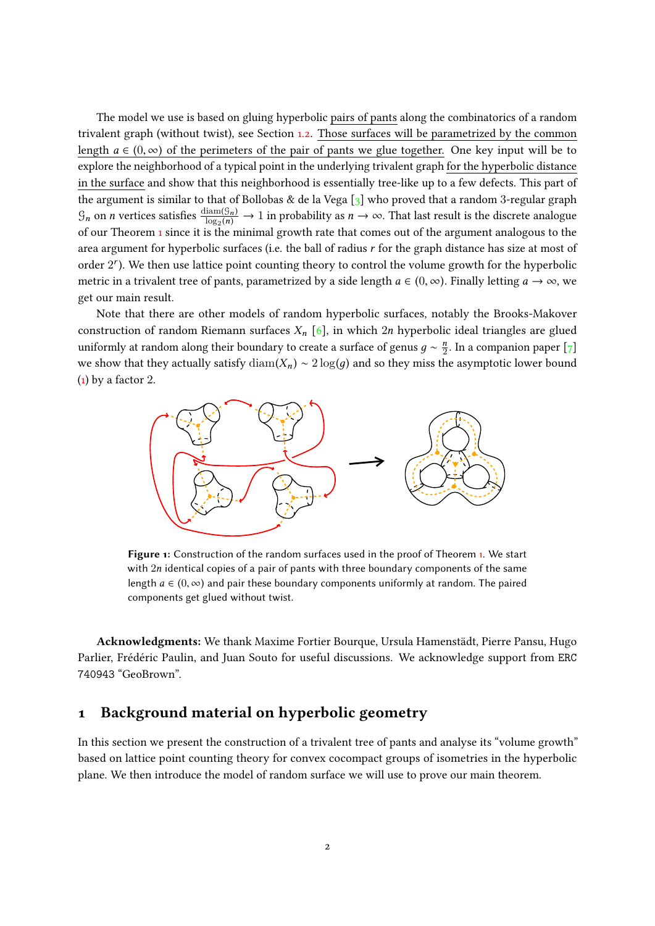The model we use is based on gluing hyperbolic pairs of pants along the combinatorics of a random trivalent graph (without twist), see Section [1.2.](#page-3-0) Those surfaces will be parametrized by the common length  $a \in (0, \infty)$  of the perimeters of the pair of pants we glue together. One key input will be to explore the neighborhood of a typical point in the underlying trivalent graph for the hyperbolic distance in the surface and show that this neighborhood is essentially tree-like up to a few defects. This part of the argument is similar to that of Bollobas & de la Vega [\[3\]](#page-7-4) who proved that a random 3-regular graph  $\mathcal{G}_n$  on *n* vertices satisfies  $\frac{\text{diam}(\mathcal{G}_n)}{\log_2(n)} \to 1$  in probability as  $n \to \infty$ . That last result is the discrete analogue<br>of our Theorem 1 since it is the minimal growth rate that comes out of the argument an of our Theorem [1](#page-0-2) since it is the minimal growth rate that comes out of the argument analogous to the area argument for hyperbolic surfaces (i.e. the ball of radius  $r$  for the graph distance has size at most of order 2<sup>r</sup>). We then use lattice point counting theory to control the volume growth for the hyperbolic metric in a trivalent tree of pants, parametrized by a side length  $a \in (0, \infty)$ . Finally letting  $a \to \infty$ , we get our main result.

Note that there are other models of random hyperbolic surfaces, notably the Brooks-Makover construction of random Riemann surfaces  $X_n$  [\[6\]](#page-7-1), in which 2n hyperbolic ideal triangles are glued uniformly at random along their boundary to create a surface of genus  $g \sim \frac{n}{2}$ . In a companion paper [\[7\]](#page-8-4) we show that they actually satisfy  $\text{diam}(X_n) \sim 2 \log(q)$  and so they miss the asymptotic lower bound  $(1)$  by a factor 2.



Figure 1: Construction of the random surfaces used in the proof of Theorem [1.](#page-0-2) We start with 2n identical copies of a pair of pants with three boundary components of the same length  $a \in (0, \infty)$  and pair these boundary components uniformly at random. The paired components get glued without twist.

Acknowledgments: We thank Maxime Fortier Bourque, Ursula Hamenstädt, Pierre Pansu, Hugo Parlier, Frédéric Paulin, and Juan Souto for useful discussions. We acknowledge support from ERC 740943 "GeoBrown".

### 1 Background material on hyperbolic geometry

In this section we present the construction of a trivalent tree of pants and analyse its "volume growth" based on lattice point counting theory for convex cocompact groups of isometries in the hyperbolic plane. We then introduce the model of random surface we will use to prove our main theorem.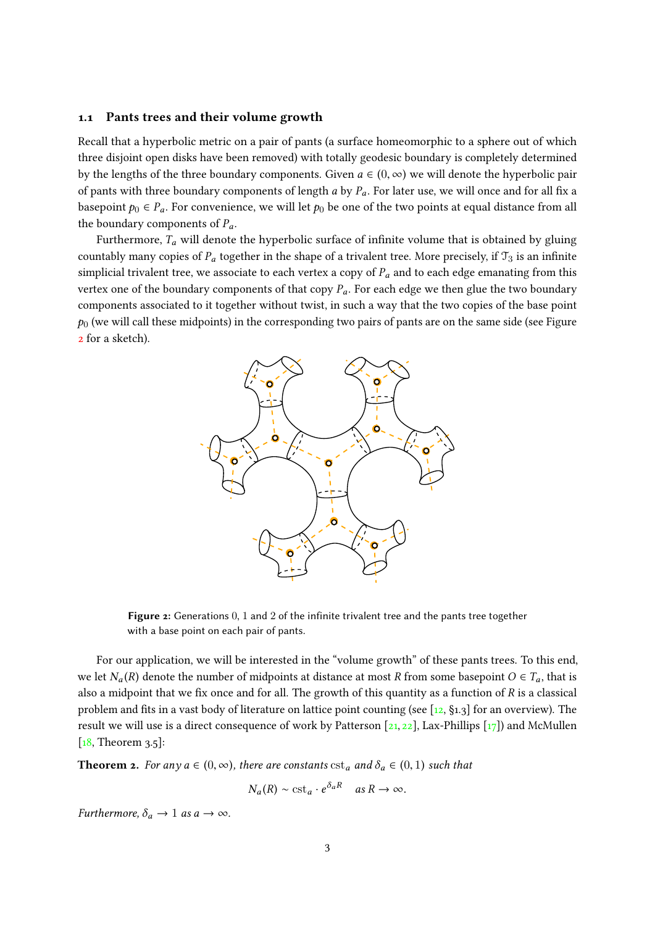#### 1.1 Pants trees and their volume growth

Recall that a hyperbolic metric on a pair of pants (a surface homeomorphic to a sphere out of which three disjoint open disks have been removed) with totally geodesic boundary is completely determined by the lengths of the three boundary components. Given  $a \in (0, \infty)$  we will denote the hyperbolic pair of pants with three boundary components of length a by  $P_a$ . For later use, we will once and for all fix a basepoint  $p_0 \in P_a$ . For convenience, we will let  $p_0$  be one of the two points at equal distance from all the boundary components of  $P_a$ .

<span id="page-2-0"></span>Furthermore,  $T_a$  will denote the hyperbolic surface of infinite volume that is obtained by gluing countably many copies of  $P_a$  together in the shape of a trivalent tree. More precisely, if  $\mathcal{T}_3$  is an infinite simplicial trivalent tree, we associate to each vertex a copy of  $P_a$  and to each edge emanating from this vertex one of the boundary components of that copy  $P_a$ . For each edge we then glue the two boundary components associated to it together without twist, in such a way that the two copies of the base point  $p_0$  (we will call these midpoints) in the corresponding two pairs of pants are on the same side (see Figure [2](#page-2-0) for a sketch).



Figure 2: Generations 0, 1 and 2 of the infinite trivalent tree and the pants tree together with a base point on each pair of pants.

For our application, we will be interested in the "volume growth" of these pants trees. To this end, we let  $N_a(R)$  denote the number of midpoints at distance at most R from some basepoint  $O \in T_a$ , that is also a midpoint that we fix once and for all. The growth of this quantity as a function of  $R$  is a classical problem and fits in a vast body of literature on lattice point counting (see  $[12, §1.3]$  $[12, §1.3]$  for an overview). The result we will use is a direct consequence of work by Patterson  $[21, 22]$  $[21, 22]$  $[21, 22]$ , Lax-Phillips  $[17]$ ) and McMullen  $[18,$  Theorem  $3.5$ :

<span id="page-2-1"></span>**Theorem 2.** For any  $a \in (0, \infty)$ , there are constants  $cst_a$  and  $\delta_a \in (0, 1)$  such that

$$
N_a(R) \sim \text{cst}_a \cdot e^{\delta_a R} \quad \text{as } R \to \infty.
$$

Furthermore,  $\delta_a \rightarrow 1$  as  $a \rightarrow \infty$ .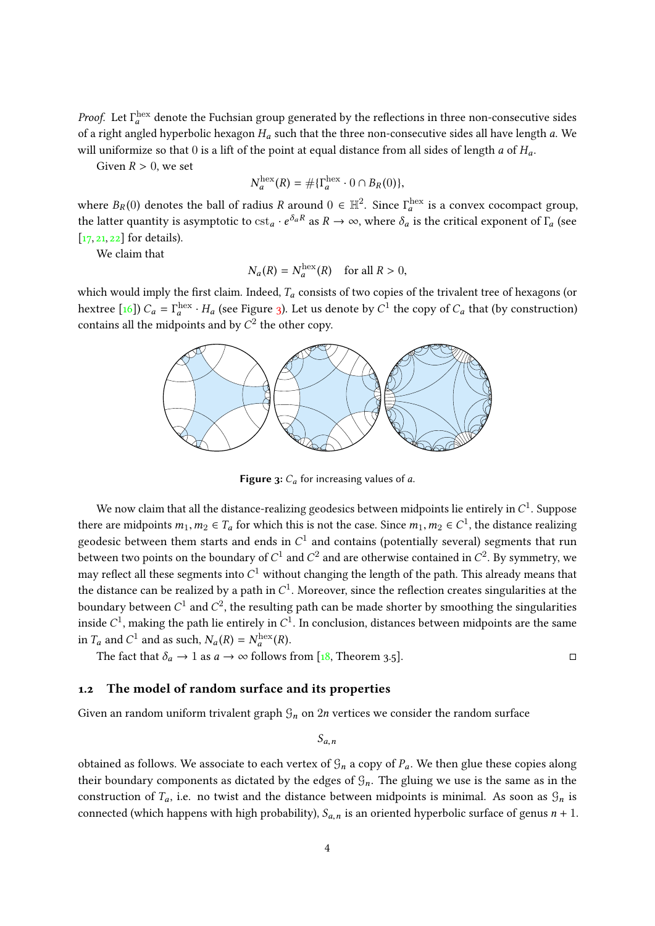*Proof.* Let  $\Gamma_a^{\text{hex}}$  denote the Fuchsian group generated by the reflections in three non-consecutive sides of a night angle is however  $H_a$  with a Higgs parameter of the all house length a Higgs parameters. of a right angled hyperbolic hexagon  $H_a$  such that the three non-consecutive sides all have length a. We will uniformize so that 0 is a lift of the point at equal distance from all sides of length a of  $H_a$ .

Given  $R > 0$ , we set

$$
N_a^{\text{hex}}(R) = \# \{\Gamma_a^{\text{hex}} \cdot 0 \cap B_R(0)\},
$$

where  $B_R(0)$  denotes the ball of radius R around  $0 \in \mathbb{H}^2$ . Since  $\Gamma_a^{\text{hex}}$  is a convex cocompact group,<br>the letter symptotic is asymptotic to set  $\Gamma_a^{\delta_a R}$  as  $R_a$  is a symbol site the suitial symmetric f.E. (se the latter quantity is asymptotic to  $cst_a \cdot e^{\delta_a R}$  as  $R \to \infty$ , where  $\delta_a$  is the critical exponent of  $\Gamma_a$  (see [\[17,](#page-8-8) [21,](#page-8-6) [22\]](#page-8-7) for details).

We claim that

$$
N_a(R) = N_a^{\text{hex}}(R) \quad \text{for all } R > 0,
$$

<span id="page-3-1"></span>which would imply the first claim. Indeed,  $T_a$  consists of two copies of the trivalent tree of hexagons (or hextree [\[16\]](#page-8-10))  $C_a = \Gamma_a^{\text{hex}} \cdot H_a$  (see Figure [3\)](#page-3-1). Let us denote by  $C^1$  the copy of  $C_a$  that (by construction) contains all the midpoints and by  $C^2$  the other copy.



**Figure 3:**  $C_a$  for increasing values of a.

We now claim that all the distance-realizing geodesics between midpoints lie entirely in  $C^1.$  Suppose there are midpoints  $m_1, m_2 \in T_a$  for which this is not the case. Since  $m_1, m_2 \in C^1$ , the distance realizing<br>graduate hatter and such and since and contained contained to contain the contact that we geodesic between them starts and ends in  $C^1$  and contains (potentially several) segments that run between two points on the boundary of  $C^1$  and  $C^2$  and are otherwise contained in  $C^2.$  By symmetry, we may reflect all these segments into  $C^1$  without changing the length of the path. This already means that the distance can be realized by a path in  $C^1$ . Moreover, since the reflection creates singularities at the boundary between  $C^1$  and  $C^2$ , the resulting path can be made shorter by smoothing the singularities inside  $C^1$ , making the path lie entirely in  $C^1$ . In conclusion, distances between midpoints are the same in  $T_a$  and  $C^1$  and as such,  $N_a(R) = N_a^{\text{hex}}(R)$ .<br>The feat that  $\delta = 1$  as a such as follows:

The fact that  $\delta_a \to 1$  as  $a \to \infty$  follows from [\[18,](#page-8-9) Theorem 3.5].

#### <span id="page-3-0"></span>1.2 The model of random surface and its properties

Given an random uniform trivalent graph  $\mathcal{G}_n$  on  $2n$  vertices we consider the random surface

 $S_{a,n}$ 

obtained as follows. We associate to each vertex of  $\mathcal{G}_n$  a copy of  $P_a$ . We then glue these copies along their boundary components as dictated by the edges of  $\mathcal{G}_n$ . The gluing we use is the same as in the construction of  $T_a$ , i.e. no twist and the distance between midpoints is minimal. As soon as  $\mathcal{G}_n$  is connected (which happens with high probability),  $S_{a,n}$  is an oriented hyperbolic surface of genus  $n + 1$ .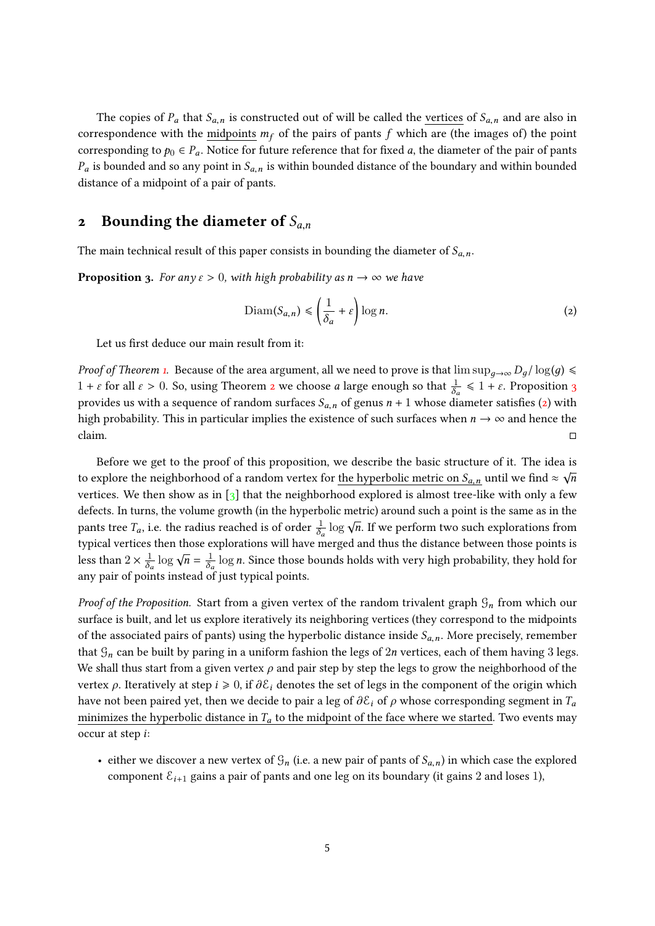The copies of  $P_a$  that  $S_{a,n}$  is constructed out of will be called the vertices of  $S_{a,n}$  and are also in correspondence with the midpoints  $m_f$  of the pairs of pants f which are (the images of) the point corresponding to  $p_0 \in P_a$ . Notice for future reference that for fixed a, the diameter of the pair of pants  $P_a$  is bounded and so any point in  $S_{a,n}$  is within bounded distance of the boundary and within bounded distance of a midpoint of a pair of pants.

### 2 Bounding the diameter of  $S_{a,n}$

The main technical result of this paper consists in bounding the diameter of  $S_{a,n}$ .

<span id="page-4-0"></span>**Proposition 3.** For any  $\varepsilon > 0$ , with high probability as  $n \to \infty$  we have

<span id="page-4-1"></span>
$$
\text{Diam}(S_{a,n}) \leq \left(\frac{1}{\delta_a} + \varepsilon\right) \log n. \tag{2}
$$

Let us first deduce our main result from it:

*Proof of Theorem [1.](#page-0-2)* Because of the area argument, all we need to prove is that  $\limsup_{q\to\infty} D_q/\log(q) \leq$  $1 + \varepsilon$  for all  $\varepsilon > 0$ . So, using Theorem [2](#page-2-1) we choose a large enough so that  $\frac{1}{\delta_a} \leq 1 + \varepsilon$ . Proposition [3](#page-4-0) provides us with a sequence of random surfaces  $S_{a,n}$  of genus  $n + 1$  whose diameter satisfies [\(2\)](#page-4-1) with high probability. This in particular implies the existence of such surfaces when  $n \to \infty$  and hence the claim.

Before we get to the proof of this proposition, we describe the basic structure of it. The idea is √ to explore the neighborhood of a random vertex for <u>the hyperbolic metric on  $S_{a,n}$ </u> until we find ≈  $\sqrt{n}$ vertices. We then show as in  $\lceil 3 \rceil$  that the neighborhood explored is almost tree-like with only a few defects. In turns, the volume growth (in the hyperbolic metric) around such a point is the same as in the pants tree  $T_a$ , i.e. the radius reached is of order  $\frac{1}{\delta_a} \log \sqrt{n}$ . If we perform two such explorations from typical vertices then those explorations will have merged and thus the distance between those points is less than  $2 \times \frac{1}{\delta}$  $rac{1}{\delta_a} \log \sqrt{n} = \frac{1}{\delta_a}$  $\frac{1}{\delta_a}$  log *n*. Since those bounds holds with very high probability, they hold for any pair of points instead of just typical points.

Proof of the Proposition. Start from a given vertex of the random trivalent graph  $\mathcal{G}_n$  from which our surface is built, and let us explore iteratively its neighboring vertices (they correspond to the midpoints of the associated pairs of pants) using the hyperbolic distance inside  $S_{a,n}$ . More precisely, remember that  $\mathcal{G}_n$  can be built by paring in a uniform fashion the legs of 2n vertices, each of them having 3 legs. We shall thus start from a given vertex  $\rho$  and pair step by step the legs to grow the neighborhood of the vertex  $\rho$ . Iteratively at step  $i \ge 0$ , if  $\partial \mathcal{E}_i$  denotes the set of legs in the component of the origin which have not been paired yet, then we decide to pair a leg of  $\partial \mathcal{E}_i$  of  $\rho$  whose corresponding segment in  $T_a$ minimizes the hyperbolic distance in  $T_a$  to the midpoint of the face where we started. Two events may occur at step i:

• either we discover a new vertex of  $\mathcal{G}_n$  (i.e. a new pair of pants of  $\mathcal{S}_{a,n}$ ) in which case the explored component  $\mathcal{E}_{i+1}$  gains a pair of pants and one leg on its boundary (it gains 2 and loses 1),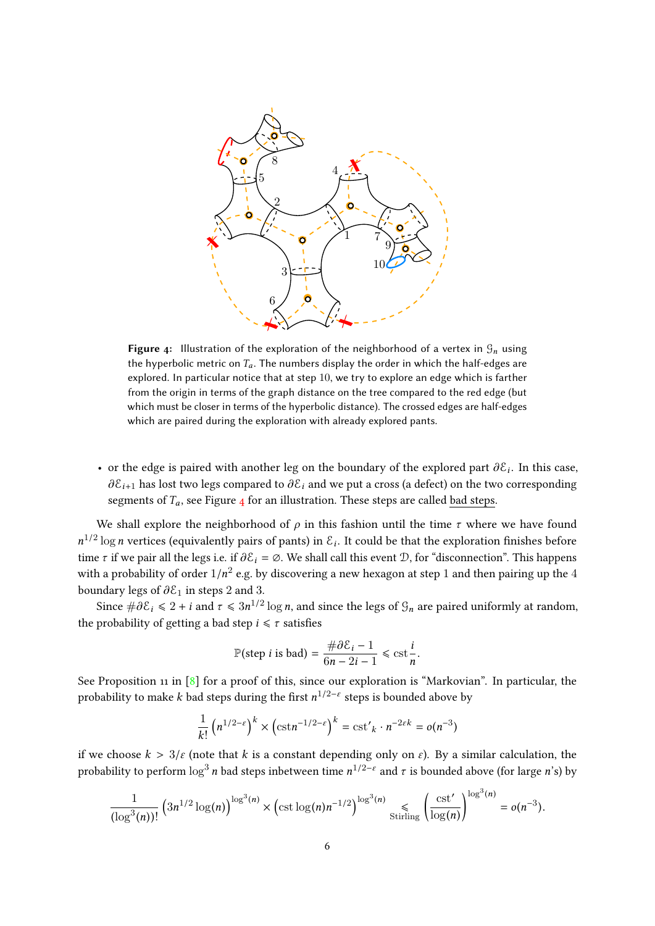<span id="page-5-0"></span>

Figure 4: Illustration of the exploration of the neighborhood of a vertex in  $\mathcal{G}_n$  using the hyperbolic metric on  $T_a$ . The numbers display the order in which the half-edges are explored. In particular notice that at step 10, we try to explore an edge which is farther from the origin in terms of the graph distance on the tree compared to the red edge (but which must be closer in terms of the hyperbolic distance). The crossed edges are half-edges which are paired during the exploration with already explored pants.

• or the edge is paired with another leg on the boundary of the explored part  $\partial \mathcal{E}_i$ . In this case,  $\partial \mathcal{E}_i$  has less two logs compared to  $\partial \mathcal{E}_i$  and we gate a great (a defect) on the two compared in  $\pi$  $\partial \mathcal{E}_{i+1}$  has lost two legs compared to  $\partial \mathcal{E}_i$  and we put a cross (a defect) on the two corresponding segments of  $T_a$ , see Figure [4](#page-5-0) for an illustration. These steps are called bad steps.

We shall explore the neighborhood of  $\rho$  in this fashion until the time  $\tau$  where we have found  $n^{1/2}$  log *n* vertices (equivalently pairs of pants) in  $\mathcal{E}_i$ . It could be that the exploration finishes before time  $\tau$  if we pair all the legs i.e. if  $\partial \mathcal{E}_i = \emptyset$ . We shall call this event  $\mathcal{D}$ , for "disconnection". This happens with a probability of order  $1/n^2$  e.g. by discovering a new hexagon at step 1 and then pairing up the 4<br>have done large of 3.8 in stars 2 and 2. boundary legs of  $\partial \mathcal{E}_1$  in steps 2 and 3.

Since  $\#\partial \mathcal{E}_i \leq 2 + i$  and  $\tau \leq 3n^{1/2} \log n$ , and since the legs of  $\mathcal{G}_n$  are paired uniformly at random, the probability of getting a bad step  $i \leq \tau$  satisfies

$$
\mathbb{P}(\text{step } i \text{ is bad}) = \frac{\#\partial \mathcal{E}_i - 1}{6n - 2i - 1} \leq \text{cst} \frac{i}{n}.
$$

See Proposition 11 in  $\lceil 8 \rceil$  for a proof of this, since our exploration is "Markovian". In particular, the probability to make  $k$  bad steps during the first  $n^{1/2-\varepsilon}$  steps is bounded above by

$$
\frac{1}{k!} \left( n^{1/2-\varepsilon} \right)^k \times \left( \text{cst} n^{-1/2-\varepsilon} \right)^k = \text{cst}'_k \cdot n^{-2\varepsilon k} = o(n^{-3})
$$

if we choose  $k > 3/\varepsilon$  (note that k is a constant depending only on  $\varepsilon$ ). By a similar calculation, the probability to perform  $\log^3 n$  bad steps inbetween time  $n^{1/2-\varepsilon}$  and  $\tau$  is bounded above (for large  $n$ 's) by

$$
\frac{1}{(\log^3(n))!} \left(3n^{1/2} \log(n)\right)^{\log^3(n)} \times \left(\text{cst}\log(n)n^{-1/2}\right)^{\log^3(n)} \leq \left(\frac{\text{cst}'}{\log(n)}\right)^{\log^3(n)} = o(n^{-3}).
$$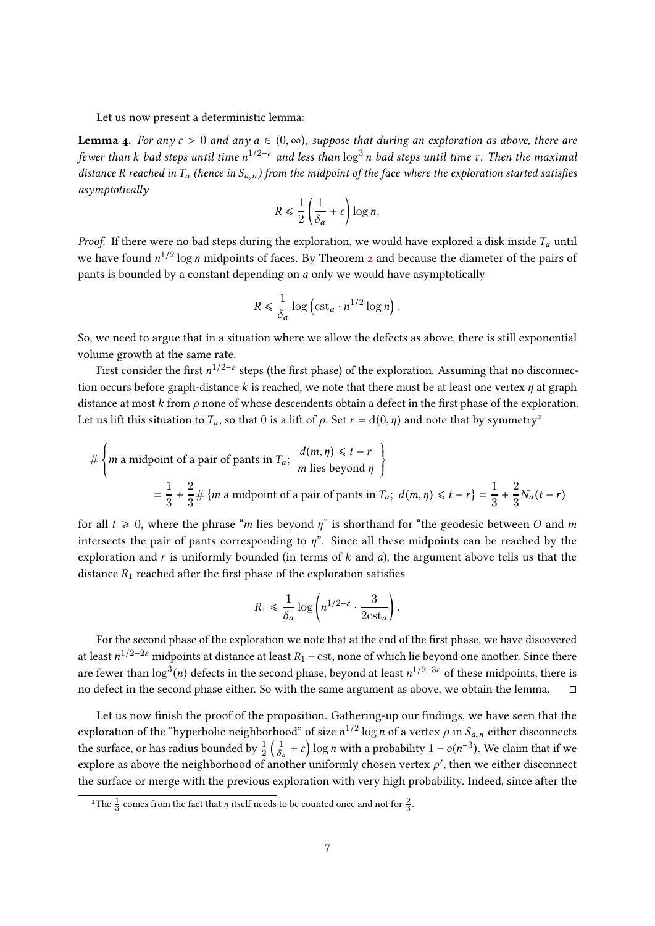Let us now present a deterministic lemma:

**Lemma 4.** For any  $\varepsilon > 0$  and any  $a \in (0, \infty)$ , suppose that during an exploration as above, there are fewer than k bad steps until time n $^{1/2-\varepsilon}$  and less than  $\log^3 n$  bad steps until time  $\tau.$  Then the maximal distance R reached in  $T_a$  (hence in  $S_{a,n}$ ) from the midpoint of the face where the exploration started satisfies asymptotically

$$
R \le \frac{1}{2} \left( \frac{1}{\delta_a} + \varepsilon \right) \log n.
$$

*Proof.* If there were no bad steps during the exploration, we would have explored a disk inside  $T_a$  until we have found  $n^{1/2}\log n$  $n^{1/2}\log n$  $n^{1/2}\log n$  midpoints of faces. By Theorem 2 and because the diameter of the pairs of pants is bounded by a constant depending on a only we would have asymptotically

$$
R \leq \frac{1}{\delta_a} \log \left( \mathrm{cst}_a \cdot n^{1/2} \log n \right)
$$

So, we need to argue that in a situation where we allow the defects as above, there is still exponential volume growth at the same rate.

First consider the first  $n^{1/2-\epsilon}$  steps (the first phase) of the exploration. Assuming that no disconnection occurs before graph-distance k is reached, we note that there must be at least one vertex  $\eta$  at graph distance at most k from  $\rho$  none of whose descendents obtain a defect in the first phase of the exploration. Let us lift this situation to  $T_a$ , so that 0 is a lift of  $\rho$ . Set  $r = d(0, \eta)$  and note that by symmetry<sup>[2](#page-6-0)</sup>

$$
\#\left\{m \text{ a midpoint of a pair of pants in }T_a; \begin{array}{c} d(m,\eta) \leq t-r \\ m \text{ lies beyond } \eta \end{array}\right\}
$$

$$
= \frac{1}{3} + \frac{2}{3} \#\left\{m \text{ a midpoint of a pair of pants in }T_a; d(m,\eta) \leq t-r\right\} = \frac{1}{3} + \frac{2}{3} N_a(t-r)
$$

for all  $t \geq 0$ , where the phrase "m lies beyond  $\eta$ " is shorthand for "the geodesic between O and m intersects the pair of pants corresponding to  $\eta$ ". Since all these midpoints can be reached by the exploration and r is uniformly bounded (in terms of  $k$  and  $a$ ), the argument above tells us that the distance  $R_1$  reached after the first phase of the exploration satisfies

$$
R_1 \le \frac{1}{\delta_a} \log \left( n^{1/2 - \varepsilon} \cdot \frac{3}{2cst_a} \right)
$$

For the second phase of the exploration we note that at the end of the first phase, we have discovered at least  $n^{1/2-2\varepsilon}$  midpoints at distance at least  $R_1$  –  ${\rm cst}$ , none of which lie beyond one another. Since there are fewer than  $\log^3(n)$  defects in the second phase, beyond at least  $n^{1/2-3\varepsilon}$  of these midpoints, there is no defect in the second phase either. So with the same argument as above, we obtain the lemma.

Let us now finish the proof of the proposition. Gathering-up our findings, we have seen that the exploration of the "hyperbolic neighborhood" of size  $n^{1/2} \log n$  of a vertex  $\rho$  in  $S_{a,n}$  either disconnects the surface, or has radius bounded by  $\frac{1}{2} \left( \frac{1}{\delta_0} \right)$  $\frac{1}{\delta_a} + \varepsilon$ ) log *n* with a probability  $1 - o(n^{-3})$ . We claim that if we explore as above the neighborhood of another uniformly chosen vertex  $\rho'$ , then we either disconnect the surface or merge with the previous exploration with very high probability. Indeed, since after the

<span id="page-6-0"></span><sup>&</sup>lt;sup>2</sup>The  $\frac{1}{3}$  comes from the fact that  $\eta$  itself needs to be counted once and not for  $\frac{2}{3}$ .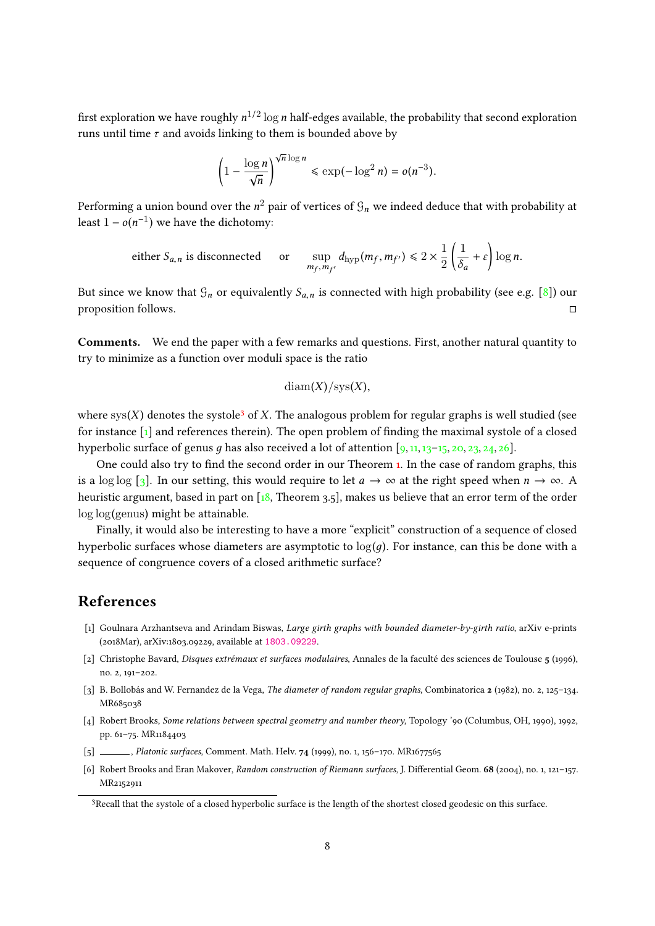first exploration we have roughly  $n^{1/2}\log n$  half-edges available, the probability that second exploration runs until time  $\tau$  and avoids linking to them is bounded above by

$$
\left(1-\frac{\log n}{\sqrt{n}}\right)^{\sqrt{n}\log n}\le \exp(-\log^2 n)=o(n^{-3}).
$$

Performing a union bound over the  $n^2$  pair of vertices of  $\mathfrak{G}_n$  we indeed deduce that with probability at least  $1 - o(n^{-1})$  we have the dichotomy:

either 
$$
S_{a,n}
$$
 is disconnected or  $\sup_{m_f, m_{f'}} d_{hyp}(m_f, m_{f'}) \le 2 \times \frac{1}{2} \left( \frac{1}{\delta_a} + \varepsilon \right) \log n$ .

But since we know that  $\mathcal{G}_n$  or equivalently  $S_{a,n}$  is connected with high probability (see e.g. [\[8\]](#page-8-11)) our proposition follows proposition follows.

Comments. We end the paper with a few remarks and questions. First, another natural quantity to try to minimize as a function over moduli space is the ratio

$$
\mathrm{diam}(X)/\mathrm{sys}(X),
$$

where  $sys(X)$  denotes the systole<sup>[3](#page-7-5)</sup> of X. The analogous problem for regular graphs is well studied (see for instance  $\lceil 1 \rceil$  and references therein). The open problem of finding the maximal systole of a closed hyperbolic surface of genus q has also received a lot of attention  $[9, 11, 13-15, 20, 23, 24, 26]$  $[9, 11, 13-15, 20, 23, 24, 26]$  $[9, 11, 13-15, 20, 23, 24, 26]$  $[9, 11, 13-15, 20, 23, 24, 26]$  $[9, 11, 13-15, 20, 23, 24, 26]$  $[9, 11, 13-15, 20, 23, 24, 26]$  $[9, 11, 13-15, 20, 23, 24, 26]$  $[9, 11, 13-15, 20, 23, 24, 26]$  $[9, 11, 13-15, 20, 23, 24, 26]$  $[9, 11, 13-15, 20, 23, 24, 26]$  $[9, 11, 13-15, 20, 23, 24, 26]$  $[9, 11, 13-15, 20, 23, 24, 26]$  $[9, 11, 13-15, 20, 23, 24, 26]$ .

One could also try to find the second order in our Theorem [1.](#page-0-2) In the case of random graphs, this is a log log [\[3\]](#page-7-4). In our setting, this would require to let  $a \to \infty$  at the right speed when  $n \to \infty$ . A heuristic argument, based in part on [\[18,](#page-8-9) Theorem 3.5], makes us believe that an error term of the order log log(genus) might be attainable.

Finally, it would also be interesting to have a more "explicit" construction of a sequence of closed hyperbolic surfaces whose diameters are asymptotic to  $log(q)$ . For instance, can this be done with a sequence of congruence covers of a closed arithmetic surface?

# References

- <span id="page-7-6"></span>[1] Goulnara Arzhantseva and Arindam Biswas, Large girth graphs with bounded diameter-by-girth ratio, arXiv e-prints (2018Mar), arXiv:1803.09229, available at <1803.09229>.
- <span id="page-7-0"></span>[2] Christophe Bavard, Disques extrémaux et surfaces modulaires, Annales de la faculté des sciences de Toulouse 5 (1996), no. 2, 191–202.
- <span id="page-7-4"></span>[3] B. Bollobás and W. Fernandez de la Vega, The diameter of random regular graphs, Combinatorica 2 (1982), no. 2, 125–134. MR685038
- <span id="page-7-2"></span>[4] Robert Brooks, Some relations between spectral geometry and number theory, Topology '90 (Columbus, OH, 1990), 1992, pp. 61–75. MR1184403
- <span id="page-7-3"></span>[5] , Platonic surfaces, Comment. Math. Helv. 74 (1999), no. 1, 156-170. MR1677565
- <span id="page-7-1"></span>[6] Robert Brooks and Eran Makover, Random construction of Riemann surfaces, J. Differential Geom. 68 (2004), no. 1, 121–157. MR2152911

<span id="page-7-5"></span><sup>3</sup>Recall that the systole of a closed hyperbolic surface is the length of the shortest closed geodesic on this surface.